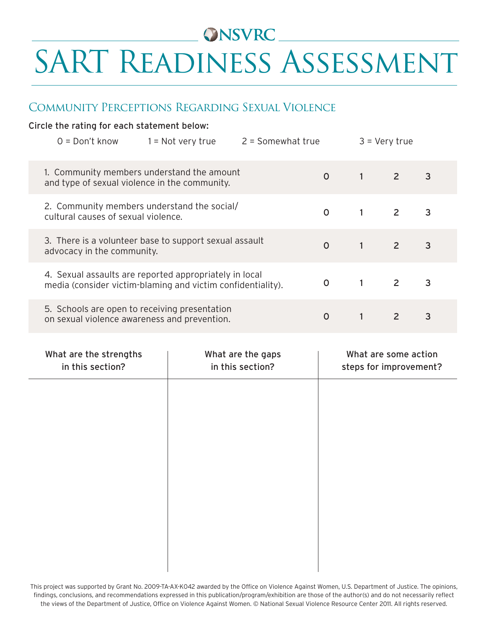# ONSVRC\_\_\_\_\_ SART Readiness Assessment

#### Community Perceptions Regarding Sexual Violence

#### Circle the rating for each statement below:

| $O = Don't know$                                                                                                      | $1 = Not$ very true | $2 =$ Somewhat true |                |          | $3 =$ Very true |                |
|-----------------------------------------------------------------------------------------------------------------------|---------------------|---------------------|----------------|----------|-----------------|----------------|
| 1. Community members understand the amount<br>and type of sexual violence in the community.                           |                     |                     | $\overline{O}$ | $1 \t2$  |                 | 3              |
| 2. Community members understand the social/<br>cultural causes of sexual violence.                                    |                     |                     | $\overline{O}$ | $1 \t2$  |                 | $\overline{3}$ |
| 3. There is a volunteer base to support sexual assault<br>advocacy in the community.                                  |                     |                     | $\overline{0}$ | $1 \t2$  |                 | $\overline{3}$ |
| 4. Sexual assaults are reported appropriately in local<br>media (consider victim-blaming and victim confidentiality). |                     |                     | $\Omega$       | $\sim$ 1 | $\overline{2}$  | 3              |
| 5. Schools are open to receiving presentation<br>on sexual violence awareness and prevention.                         |                     |                     | $\Omega$       |          | $\overline{2}$  | 3              |

| What are the strengths<br>in this section? | What are the gaps<br>in this section? | What are some action<br>steps for improvement? |
|--------------------------------------------|---------------------------------------|------------------------------------------------|
|                                            |                                       |                                                |
|                                            |                                       |                                                |
|                                            |                                       |                                                |
|                                            |                                       |                                                |
|                                            |                                       |                                                |
|                                            |                                       |                                                |

This project was supported by Grant No. 2009-TA-AX-K042 awarded by the Office on Violence Against Women, U.S. Department of Justice. The opinions, findings, conclusions, and recommendations expressed in this publication/program/exhibition are those of the author(s) and do not necessarily reflect the views of the Department of Justice, Office on Violence Against Women. © National Sexual Violence Resource Center 2011. All rights reserved.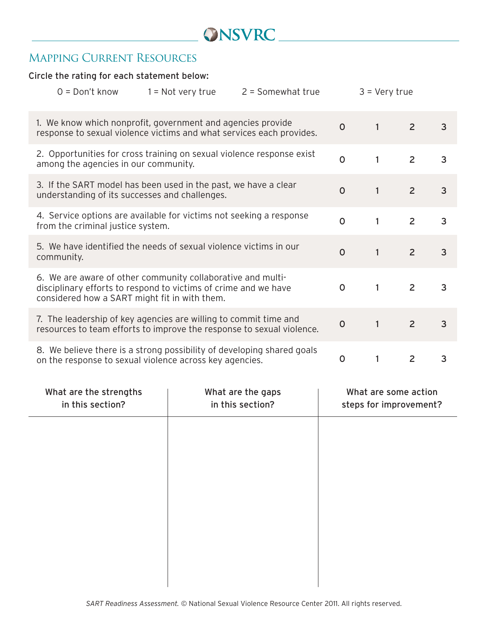### ONSVRC

#### Mapping Current Resources

#### Circle the rating for each statement below:

| $0 = Don't know$                                                                                                                                                                | $1 = Not$ very true | $2 =$ Somewhat true |              | $3 = Very true$ |                |                |
|---------------------------------------------------------------------------------------------------------------------------------------------------------------------------------|---------------------|---------------------|--------------|-----------------|----------------|----------------|
| 1. We know which nonprofit, government and agencies provide<br>response to sexual violence victims and what services each provides.                                             |                     | $\mathsf{O}$        | $\mathbf{1}$ | 2               | 3              |                |
| 2. Opportunities for cross training on sexual violence response exist<br>among the agencies in our community.                                                                   |                     | $\Omega$            | 1            | $\overline{2}$  | 3              |                |
| 3. If the SART model has been used in the past, we have a clear<br>understanding of its successes and challenges.                                                               |                     |                     | $\Omega$     | $\mathbf{1}$    | $\overline{2}$ | 3              |
| 4. Service options are available for victims not seeking a response<br>from the criminal justice system.                                                                        |                     |                     | $\mathsf{O}$ | 1               | $\overline{2}$ | $\overline{3}$ |
| 5. We have identified the needs of sexual violence victims in our<br>community.                                                                                                 |                     |                     | $\mathsf{O}$ | $\mathbf{1}$    | $\overline{2}$ | 3              |
| 6. We are aware of other community collaborative and multi-<br>disciplinary efforts to respond to victims of crime and we have<br>considered how a SART might fit in with them. |                     |                     | $\Omega$     | $\mathbf{1}$    | $\overline{2}$ | 3              |
| 7. The leadership of key agencies are willing to commit time and<br>resources to team efforts to improve the response to sexual violence.                                       |                     |                     | $\mathsf{O}$ | $\mathbf{1}$    | $\overline{2}$ | $\overline{3}$ |
| 8. We believe there is a strong possibility of developing shared goals<br>on the response to sexual violence across key agencies.                                               |                     |                     | $\mathbf 0$  | 1               | 2              | 3              |

| What are the strengths<br>in this section? | What are the gaps<br>What are some action<br>in this section?<br>steps for improvement? |  |  |
|--------------------------------------------|-----------------------------------------------------------------------------------------|--|--|
|                                            |                                                                                         |  |  |
|                                            |                                                                                         |  |  |
|                                            |                                                                                         |  |  |
|                                            |                                                                                         |  |  |
|                                            |                                                                                         |  |  |
|                                            |                                                                                         |  |  |